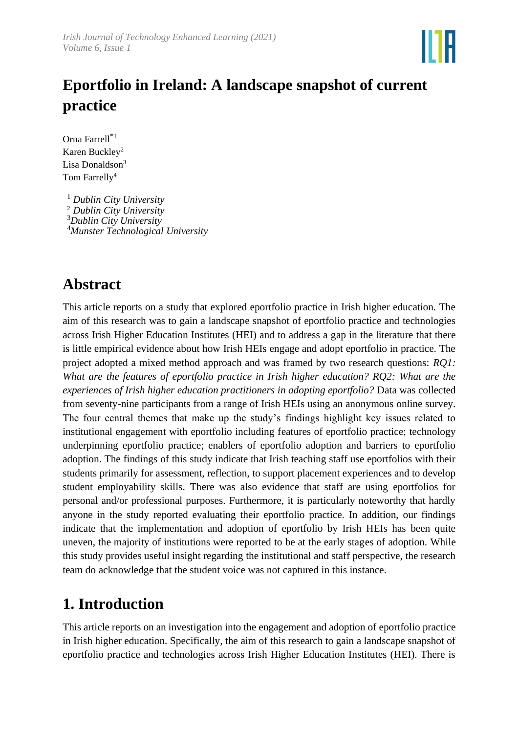

# **Eportfolio in Ireland: A landscape snapshot of current practice**

Orna Farrell\*1 Karen Buckley<sup>2</sup> Lisa Donaldson<sup>3</sup> Tom Farrelly<sup>4</sup>

 *Dublin City University Dublin City University Dublin City University Munster Technological University*

## **Abstract**

This article reports on a study that explored eportfolio practice in Irish higher education. The aim of this research was to gain a landscape snapshot of eportfolio practice and technologies across Irish Higher Education Institutes (HEI) and to address a gap in the literature that there is little empirical evidence about how Irish HEIs engage and adopt eportfolio in practice. The project adopted a mixed method approach and was framed by two research questions: *RQ1: What are the features of eportfolio practice in Irish higher education? RQ2: What are the experiences of Irish higher education practitioners in adopting eportfolio?* Data was collected from seventy-nine participants from a range of Irish HEIs using an anonymous online survey. The four central themes that make up the study's findings highlight key issues related to institutional engagement with eportfolio including features of eportfolio practice; technology underpinning eportfolio practice; enablers of eportfolio adoption and barriers to eportfolio adoption. The findings of this study indicate that Irish teaching staff use eportfolios with their students primarily for assessment, reflection, to support placement experiences and to develop student employability skills. There was also evidence that staff are using eportfolios for personal and/or professional purposes. Furthermore, it is particularly noteworthy that hardly anyone in the study reported evaluating their eportfolio practice. In addition, our findings indicate that the implementation and adoption of eportfolio by Irish HEIs has been quite uneven, the majority of institutions were reported to be at the early stages of adoption. While this study provides useful insight regarding the institutional and staff perspective, the research team do acknowledge that the student voice was not captured in this instance.

## **1. Introduction**

This article reports on an investigation into the engagement and adoption of eportfolio practice in Irish higher education. Specifically, the aim of this research to gain a landscape snapshot of eportfolio practice and technologies across Irish Higher Education Institutes (HEI). There is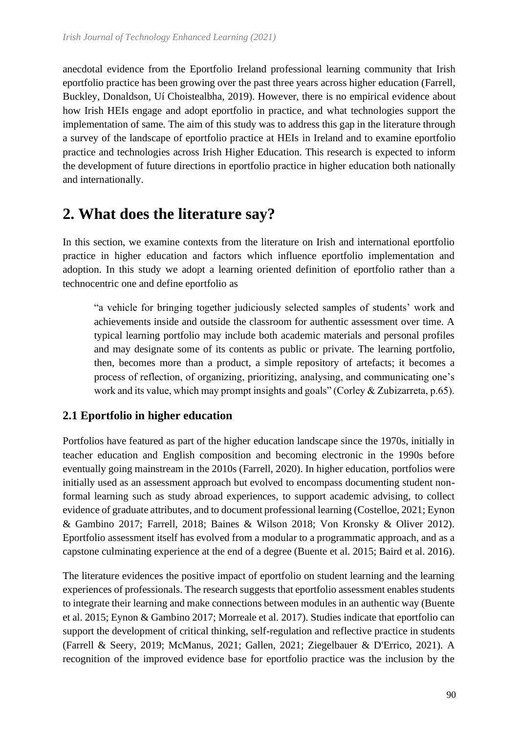anecdotal evidence from the Eportfolio Ireland professional learning community that Irish eportfolio practice has been growing over the past three years across higher education (Farrell, Buckley, Donaldson, Uí Choistealbha, 2019). However, there is no empirical evidence about how Irish HEIs engage and adopt eportfolio in practice, and what technologies support the implementation of same. The aim of this study was to address this gap in the literature through a survey of the landscape of eportfolio practice at HEIs in Ireland and to examine eportfolio practice and technologies across Irish Higher Education. This research is expected to inform the development of future directions in eportfolio practice in higher education both nationally and internationally.

## **2. What does the literature say?**

In this section, we examine contexts from the literature on Irish and international eportfolio practice in higher education and factors which influence eportfolio implementation and adoption. In this study we adopt a learning oriented definition of eportfolio rather than a technocentric one and define eportfolio as

"a vehicle for bringing together judiciously selected samples of students' work and achievements inside and outside the classroom for authentic assessment over time. A typical learning portfolio may include both academic materials and personal profiles and may designate some of its contents as public or private. The learning portfolio, then, becomes more than a product, a simple repository of artefacts; it becomes a process of reflection, of organizing, prioritizing, analysing, and communicating one's work and its value, which may prompt insights and goals" (Corley & Zubizarreta, p.65).

## **2.1 Eportfolio in higher education**

Portfolios have featured as part of the higher education landscape since the 1970s, initially in teacher education and English composition and becoming electronic in the 1990s before eventually going mainstream in the 2010s (Farrell, 2020). In higher education, portfolios were initially used as an assessment approach but evolved to encompass documenting student nonformal learning such as study abroad experiences, to support academic advising, to collect evidence of graduate attributes, and to document professional learning (Costelloe, 2021; Eynon & Gambino 2017; Farrell, 2018; Baines & Wilson 2018; Von Kronsky & Oliver 2012). Eportfolio assessment itself has evolved from a modular to a programmatic approach, and as a capstone culminating experience at the end of a degree (Buente et al. 2015; Baird et al. 2016).

The literature evidences the positive impact of eportfolio on student learning and the learning experiences of professionals. The research suggests that eportfolio assessment enables students to integrate their learning and make connections between modules in an authentic way (Buente et al. 2015; Eynon & Gambino 2017; Morreale et al. 2017). Studies indicate that eportfolio can support the development of critical thinking, self-regulation and reflective practice in students (Farrell & Seery, 2019; McManus, 2021; Gallen, 2021; Ziegelbauer & D'Errico, 2021). A recognition of the improved evidence base for eportfolio practice was the inclusion by the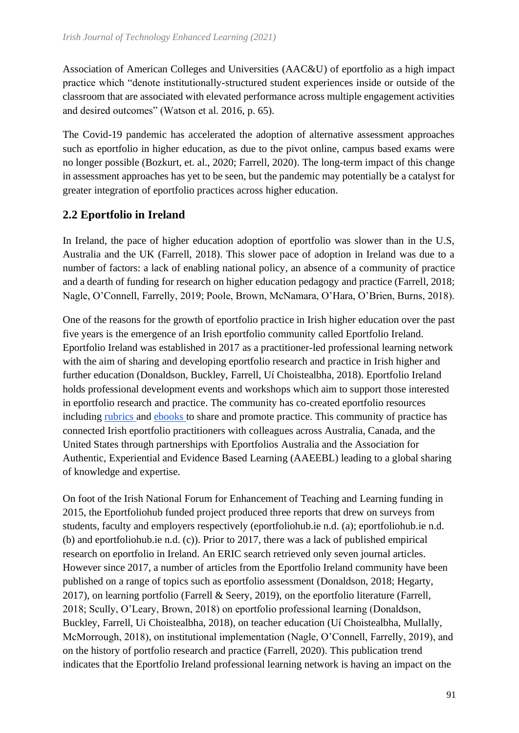Association of American Colleges and Universities (AAC&U) of eportfolio as a high impact practice which "denote institutionally-structured student experiences inside or outside of the classroom that are associated with elevated performance across multiple engagement activities and desired outcomes" (Watson et al. 2016, p. 65).

The Covid-19 pandemic has accelerated the adoption of alternative assessment approaches such as eportfolio in higher education, as due to the pivot online, campus based exams were no longer possible (Bozkurt, et. al., 2020; Farrell, 2020). The long-term impact of this change in assessment approaches has yet to be seen, but the pandemic may potentially be a catalyst for greater integration of eportfolio practices across higher education.

## **2.2 Eportfolio in Ireland**

In Ireland, the pace of higher education adoption of eportfolio was slower than in the U.S, Australia and the UK (Farrell, 2018). This slower pace of adoption in Ireland was due to a number of factors: a lack of enabling national policy, an absence of a community of practice and a dearth of funding for research on higher education pedagogy and practice (Farrell, 2018; Nagle, O'Connell, Farrelly, 2019; Poole, Brown, McNamara, O'Hara, O'Brien, Burns, 2018).

One of the reasons for the growth of eportfolio practice in Irish higher education over the past five years is the emergence of an Irish eportfolio community called Eportfolio Ireland. Eportfolio Ireland was established in 2017 as a practitioner-led professional learning network with the aim of sharing and developing eportfolio research and practice in Irish higher and further education (Donaldson, Buckley, Farrell, Uí Choistealbha, 2018). Eportfolio Ireland holds professional development events and workshops which aim to support those interested in eportfolio research and practice. The community has co-created eportfolio resources including [rubrics a](https://docs.google.com/document/d/1cdtcUon9iNKUUSVICw1o2AmFU1pAPMTSv3DWdeVtIXM/edit?usp=sharing)nd [ebooks t](https://read.bookcreator.com/czHiWg1mbURBt6XGEriXdgYJEr62/j09MDQqZTXGthHfmyzsU0Q)o share and promote practice. This community of practice has connected Irish eportfolio practitioners with colleagues across Australia, Canada, and the United States through partnerships with Eportfolios Australia and the Association for Authentic, Experiential and Evidence Based Learning (AAEEBL) leading to a global sharing of knowledge and expertise.

On foot of the Irish National Forum for Enhancement of Teaching and Learning funding in 2015, the Eportfoliohub funded project produced three reports that drew on surveys from students, faculty and employers respectively (eportfoliohub.ie n.d. (a); eportfoliohub.ie n.d. (b) and eportfoliohub.ie n.d. (c)). Prior to 2017, there was a lack of published empirical research on eportfolio in Ireland. An ERIC search retrieved only seven journal articles. However since 2017, a number of articles from the Eportfolio Ireland community have been published on a range of topics such as eportfolio assessment (Donaldson, 2018; Hegarty, 2017), on learning portfolio (Farrell & Seery, 2019), on the eportfolio literature (Farrell, 2018; Scully, O'Leary, Brown, 2018) on eportfolio professional learning (Donaldson, Buckley, Farrell, Ui Choistealbha, 2018), on teacher education (Uí Choistealbha, Mullally, McMorrough, 2018), on institutional implementation (Nagle, O'Connell, Farrelly, 2019), and on the history of portfolio research and practice (Farrell, 2020). This publication trend indicates that the Eportfolio Ireland professional learning network is having an impact on the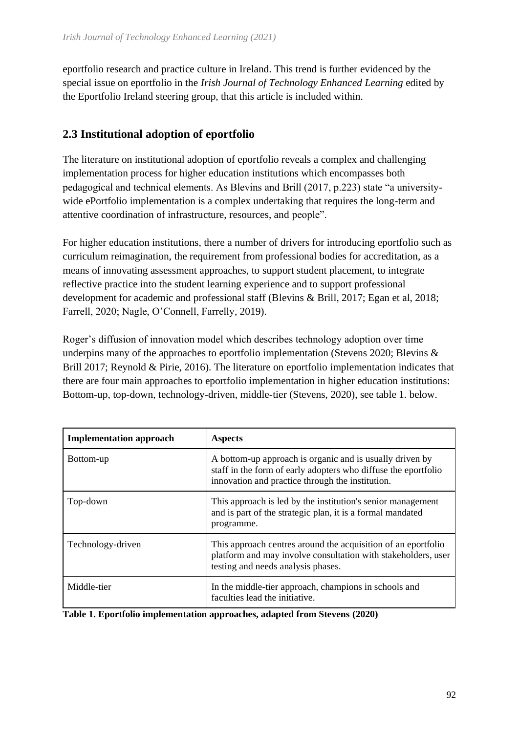eportfolio research and practice culture in Ireland. This trend is further evidenced by the special issue on eportfolio in the *Irish Journal of Technology Enhanced Learning* edited by the Eportfolio Ireland steering group, that this article is included within.

## **2.3 Institutional adoption of eportfolio**

The literature on institutional adoption of eportfolio reveals a complex and challenging implementation process for higher education institutions which encompasses both pedagogical and technical elements. As Blevins and Brill (2017, p.223) state "a universitywide ePortfolio implementation is a complex undertaking that requires the long-term and attentive coordination of infrastructure, resources, and people".

For higher education institutions, there a number of drivers for introducing eportfolio such as curriculum reimagination, the requirement from professional bodies for accreditation, as a means of innovating assessment approaches, to support student placement, to integrate reflective practice into the student learning experience and to support professional development for academic and professional staff (Blevins & Brill, 2017; Egan et al, 2018; Farrell, 2020; Nagle, O'Connell, Farrelly, 2019).

Roger's diffusion of innovation model which describes technology adoption over time underpins many of the approaches to eportfolio implementation (Stevens 2020; Blevins & Brill 2017; Reynold & Pirie, 2016). The literature on eportfolio implementation indicates that there are four main approaches to eportfolio implementation in higher education institutions: Bottom-up, top-down, technology-driven, middle-tier (Stevens, 2020), see table 1. below.

| <b>Implementation approach</b> | <b>Aspects</b>                                                                                                                                                                 |
|--------------------------------|--------------------------------------------------------------------------------------------------------------------------------------------------------------------------------|
| Bottom-up                      | A bottom-up approach is organic and is usually driven by<br>staff in the form of early adopters who diffuse the eportfolio<br>innovation and practice through the institution. |
| Top-down                       | This approach is led by the institution's senior management<br>and is part of the strategic plan, it is a formal mandated<br>programme.                                        |
| Technology-driven              | This approach centres around the acquisition of an eportfolio<br>platform and may involve consultation with stakeholders, user<br>testing and needs analysis phases.           |
| Middle-tier                    | In the middle-tier approach, champions in schools and<br>faculties lead the initiative.                                                                                        |

|  |  |  |  |  | Table 1. Eportfolio implementation approaches, adapted from Stevens (2020) |  |
|--|--|--|--|--|----------------------------------------------------------------------------|--|
|--|--|--|--|--|----------------------------------------------------------------------------|--|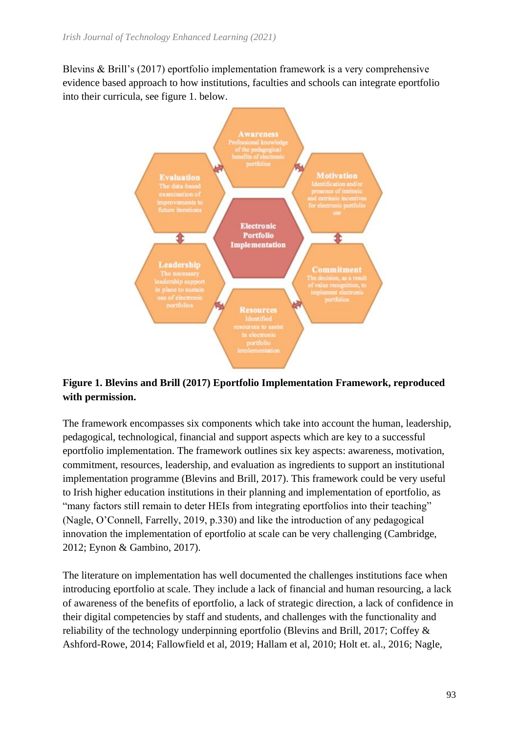Blevins & Brill's (2017) eportfolio implementation framework is a very comprehensive evidence based approach to how institutions, faculties and schools can integrate eportfolio into their curricula, see figure 1. below.



## **Figure 1. Blevins and Brill (2017) Eportfolio Implementation Framework, reproduced with permission.**

The framework encompasses six components which take into account the human, leadership, pedagogical, technological, financial and support aspects which are key to a successful eportfolio implementation. The framework outlines six key aspects: awareness, motivation, commitment, resources, leadership, and evaluation as ingredients to support an institutional implementation programme (Blevins and Brill, 2017). This framework could be very useful to Irish higher education institutions in their planning and implementation of eportfolio, as "many factors still remain to deter HEIs from integrating eportfolios into their teaching" (Nagle, O'Connell, Farrelly, 2019, p.330) and like the introduction of any pedagogical innovation the implementation of eportfolio at scale can be very challenging (Cambridge, 2012; Eynon & Gambino, 2017).

The literature on implementation has well documented the challenges institutions face when introducing eportfolio at scale. They include a lack of financial and human resourcing, a lack of awareness of the benefits of eportfolio, a lack of strategic direction, a lack of confidence in their digital competencies by staff and students, and challenges with the functionality and reliability of the technology underpinning eportfolio (Blevins and Brill, 2017; Coffey & Ashford-Rowe, 2014; Fallowfield et al, 2019; Hallam et al, 2010; Holt et. al., 2016; Nagle,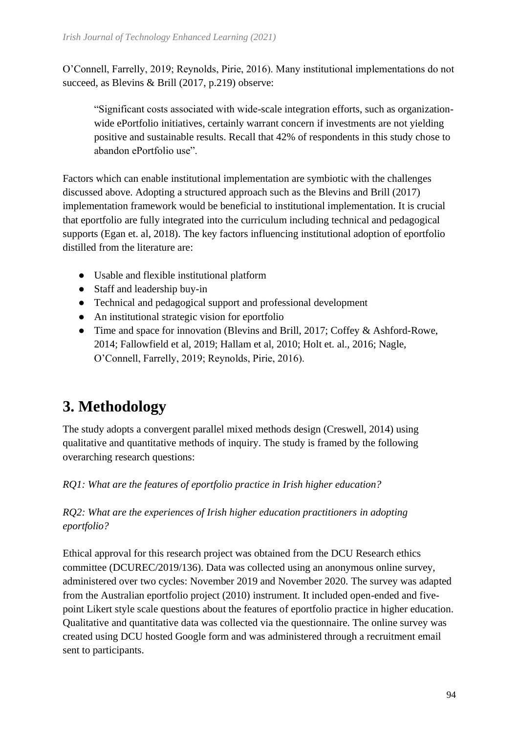O'Connell, Farrelly, 2019; Reynolds, Pirie, 2016). Many institutional implementations do not succeed, as Blevins & Brill (2017, p.219) observe:

"Significant costs associated with wide-scale integration efforts, such as organizationwide ePortfolio initiatives, certainly warrant concern if investments are not yielding positive and sustainable results. Recall that 42% of respondents in this study chose to abandon ePortfolio use".

Factors which can enable institutional implementation are symbiotic with the challenges discussed above. Adopting a structured approach such as the Blevins and Brill (2017) implementation framework would be beneficial to institutional implementation. It is crucial that eportfolio are fully integrated into the curriculum including technical and pedagogical supports (Egan et. al, 2018). The key factors influencing institutional adoption of eportfolio distilled from the literature are:

- Usable and flexible institutional platform
- Staff and leadership buy-in
- Technical and pedagogical support and professional development
- An institutional strategic vision for eportfolio
- Time and space for innovation (Blevins and Brill, 2017; Coffey & Ashford-Rowe, 2014; Fallowfield et al, 2019; Hallam et al, 2010; Holt et. al., 2016; Nagle, O'Connell, Farrelly, 2019; Reynolds, Pirie, 2016).

# **3. Methodology**

The study adopts a convergent parallel mixed methods design (Creswell, 2014) using qualitative and quantitative methods of inquiry. The study is framed by the following overarching research questions:

*RQ1: What are the features of eportfolio practice in Irish higher education?*

## *RQ2: What are the experiences of Irish higher education practitioners in adopting eportfolio?*

Ethical approval for this research project was obtained from the DCU Research ethics committee (DCUREC/2019/136). Data was collected using an anonymous online survey, administered over two cycles: November 2019 and November 2020. The survey was adapted from the Australian eportfolio project (2010) instrument. It included open-ended and fivepoint Likert style scale questions about the features of eportfolio practice in higher education. Qualitative and quantitative data was collected via the questionnaire. The online survey was created using DCU hosted Google form and was administered through a recruitment email sent to participants.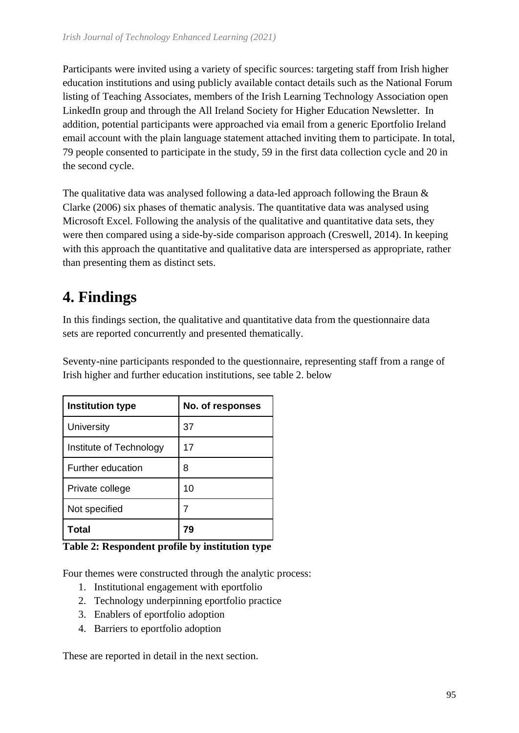Participants were invited using a variety of specific sources: targeting staff from Irish higher education institutions and using publicly available contact details such as the National Forum listing of Teaching Associates, members of the Irish Learning Technology Association open LinkedIn group and through the All Ireland Society for Higher Education Newsletter. In addition, potential participants were approached via email from a generic Eportfolio Ireland email account with the plain language statement attached inviting them to participate. In total, 79 people consented to participate in the study, 59 in the first data collection cycle and 20 in the second cycle.

The qualitative data was analysed following a data-led approach following the Braun & Clarke (2006) six phases of thematic analysis. The quantitative data was analysed using Microsoft Excel. Following the analysis of the qualitative and quantitative data sets, they were then compared using a side-by-side comparison approach (Creswell, 2014). In keeping with this approach the quantitative and qualitative data are interspersed as appropriate, rather than presenting them as distinct sets.

# **4. Findings**

In this findings section, the qualitative and quantitative data from the questionnaire data sets are reported concurrently and presented thematically.

Seventy-nine participants responded to the questionnaire, representing staff from a range of Irish higher and further education institutions, see table 2. below

| <b>Institution type</b>  | No. of responses |  |
|--------------------------|------------------|--|
| University               | 37               |  |
| Institute of Technology  | 17               |  |
| <b>Further education</b> | 8                |  |
| Private college          | 10               |  |
| Not specified            | 7                |  |
| Total                    |                  |  |

**Table 2: Respondent profile by institution type**

Four themes were constructed through the analytic process:

- 1. Institutional engagement with eportfolio
- 2. Technology underpinning eportfolio practice
- 3. Enablers of eportfolio adoption
- 4. Barriers to eportfolio adoption

These are reported in detail in the next section.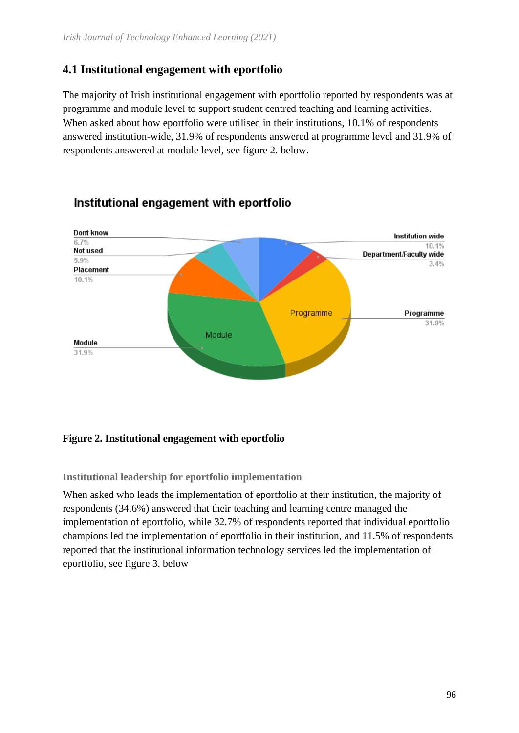## **4.1 Institutional engagement with eportfolio**

The majority of Irish institutional engagement with eportfolio reported by respondents was at programme and module level to support student centred teaching and learning activities. When asked about how eportfolio were utilised in their institutions, 10.1% of respondents answered institution-wide, 31.9% of respondents answered at programme level and 31.9% of respondents answered at module level, see figure 2. below.



## Institutional engagement with eportfolio

#### **Figure 2. Institutional engagement with eportfolio**

**Institutional leadership for eportfolio implementation**

When asked who leads the implementation of eportfolio at their institution, the majority of respondents (34.6%) answered that their teaching and learning centre managed the implementation of eportfolio, while 32.7% of respondents reported that individual eportfolio champions led the implementation of eportfolio in their institution, and 11.5% of respondents reported that the institutional information technology services led the implementation of eportfolio, see figure 3. below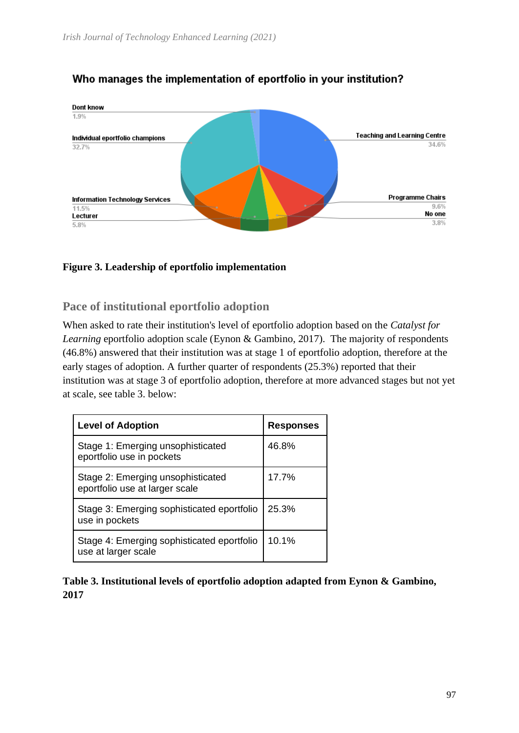

## Who manages the implementation of eportfolio in your institution?

#### **Figure 3. Leadership of eportfolio implementation**

**Pace of institutional eportfolio adoption**

When asked to rate their institution's level of eportfolio adoption based on the *Catalyst for Learning* eportfolio adoption scale (Eynon & Gambino, 2017). The majority of respondents (46.8%) answered that their institution was at stage 1 of eportfolio adoption, therefore at the early stages of adoption. A further quarter of respondents (25.3%) reported that their institution was at stage 3 of eportfolio adoption, therefore at more advanced stages but not yet at scale, see table 3. below:

| <b>Level of Adoption</b>                                            | <b>Responses</b> |  |
|---------------------------------------------------------------------|------------------|--|
| Stage 1: Emerging unsophisticated<br>eportfolio use in pockets      | 46.8%            |  |
| Stage 2: Emerging unsophisticated<br>eportfolio use at larger scale | 17.7%            |  |
| Stage 3: Emerging sophisticated eportfolio<br>use in pockets        | 25.3%            |  |
| Stage 4: Emerging sophisticated eportfolio<br>use at larger scale   | 10.1%            |  |

**Table 3. Institutional levels of eportfolio adoption adapted from Eynon & Gambino, 2017**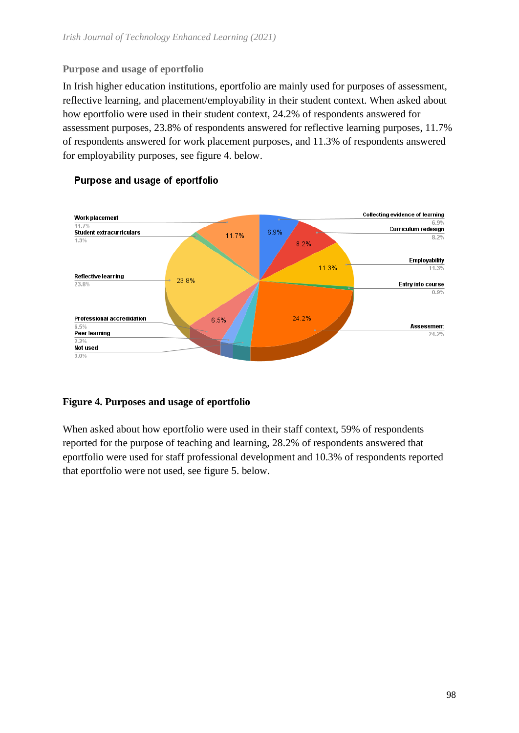#### **Purpose and usage of eportfolio**

In Irish higher education institutions, eportfolio are mainly used for purposes of assessment, reflective learning, and placement/employability in their student context. When asked about how eportfolio were used in their student context, 24.2% of respondents answered for assessment purposes, 23.8% of respondents answered for reflective learning purposes, 11.7% of respondents answered for work placement purposes, and 11.3% of respondents answered for employability purposes, see figure 4. below.



#### Purpose and usage of eportfolio

#### **Figure 4. Purposes and usage of eportfolio**

When asked about how eportfolio were used in their staff context, 59% of respondents reported for the purpose of teaching and learning, 28.2% of respondents answered that eportfolio were used for staff professional development and 10.3% of respondents reported that eportfolio were not used, see figure 5. below.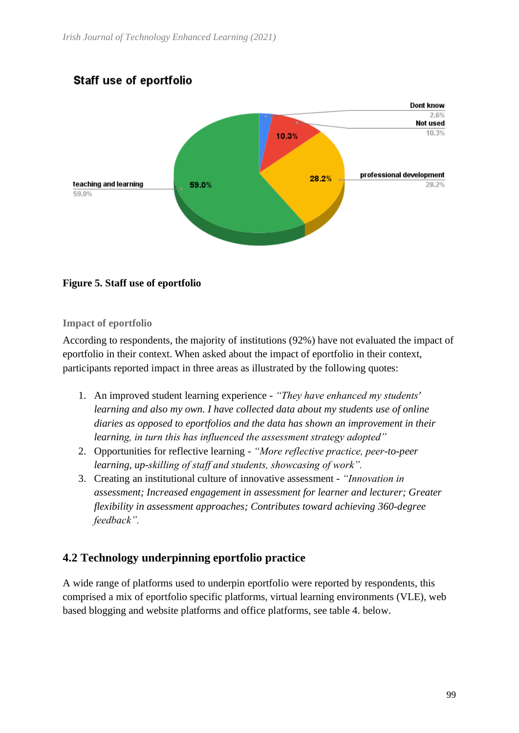## Staff use of eportfolio



#### **Figure 5. Staff use of eportfolio**

#### **Impact of eportfolio**

According to respondents, the majority of institutions (92%) have not evaluated the impact of eportfolio in their context. When asked about the impact of eportfolio in their context, participants reported impact in three areas as illustrated by the following quotes:

- 1. An improved student learning experience *"They have enhanced my students' learning and also my own. I have collected data about my students use of online diaries as opposed to eportfolios and the data has shown an improvement in their learning, in turn this has influenced the assessment strategy adopted"*
- 2. Opportunities for reflective learning *"More reflective practice, peer-to-peer learning, up-skilling of staff and students, showcasing of work".*
- 3. Creating an institutional culture of innovative assessment *"Innovation in assessment; Increased engagement in assessment for learner and lecturer; Greater flexibility in assessment approaches; Contributes toward achieving 360-degree feedback".*

#### **4.2 Technology underpinning eportfolio practice**

A wide range of platforms used to underpin eportfolio were reported by respondents, this comprised a mix of eportfolio specific platforms, virtual learning environments (VLE), web based blogging and website platforms and office platforms, see table 4. below.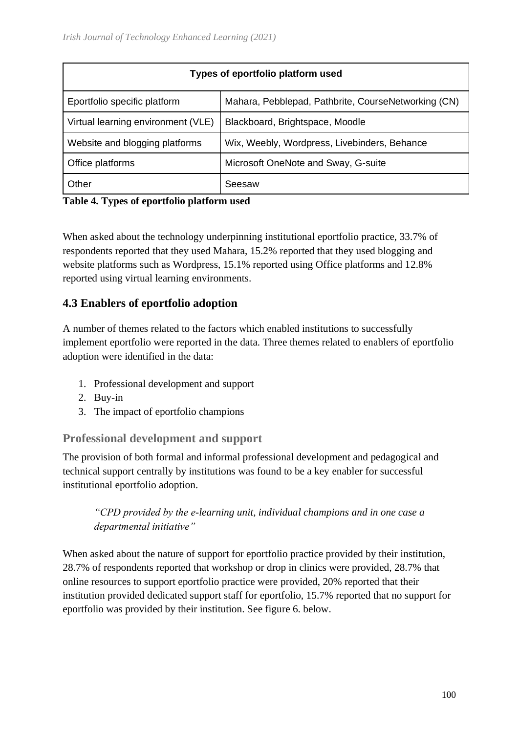| Types of eportfolio platform used  |                                                     |  |  |  |
|------------------------------------|-----------------------------------------------------|--|--|--|
| Eportfolio specific platform       | Mahara, Pebblepad, Pathbrite, CourseNetworking (CN) |  |  |  |
| Virtual learning environment (VLE) | Blackboard, Brightspace, Moodle                     |  |  |  |
| Website and blogging platforms     | Wix, Weebly, Wordpress, Livebinders, Behance        |  |  |  |
| Office platforms                   | Microsoft OneNote and Sway, G-suite                 |  |  |  |
| Other                              | Seesaw                                              |  |  |  |

#### **Table 4. Types of eportfolio platform used**

When asked about the technology underpinning institutional eportfolio practice, 33.7% of respondents reported that they used Mahara, 15.2% reported that they used blogging and website platforms such as Wordpress, 15.1% reported using Office platforms and 12.8% reported using virtual learning environments.

## **4.3 Enablers of eportfolio adoption**

A number of themes related to the factors which enabled institutions to successfully implement eportfolio were reported in the data. Three themes related to enablers of eportfolio adoption were identified in the data:

- 1. Professional development and support
- 2. Buy-in
- 3. The impact of eportfolio champions

#### **Professional development and support**

The provision of both formal and informal professional development and pedagogical and technical support centrally by institutions was found to be a key enabler for successful institutional eportfolio adoption.

## *"CPD provided by the e-learning unit, individual champions and in one case a departmental initiative"*

When asked about the nature of support for eportfolio practice provided by their institution, 28.7% of respondents reported that workshop or drop in clinics were provided, 28.7% that online resources to support eportfolio practice were provided, 20% reported that their institution provided dedicated support staff for eportfolio, 15.7% reported that no support for eportfolio was provided by their institution. See figure 6. below.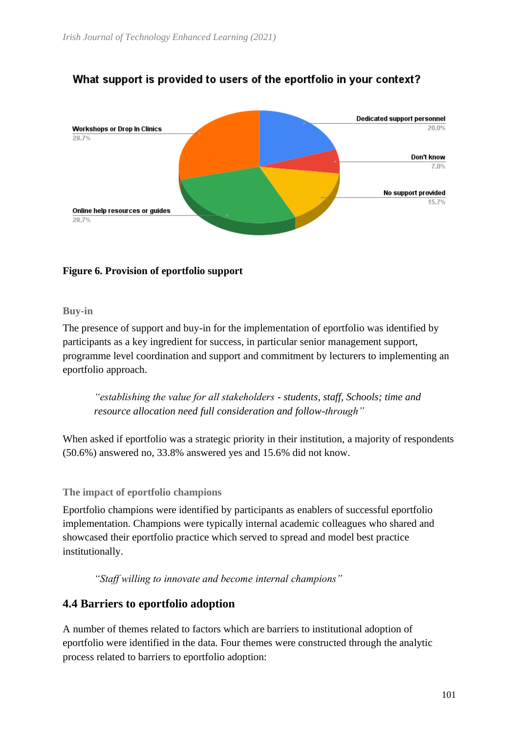

## What support is provided to users of the eportfolio in your context?

#### **Figure 6. Provision of eportfolio support**

#### **Buy-in**

The presence of support and buy-in for the implementation of eportfolio was identified by participants as a key ingredient for success, in particular senior management support, programme level coordination and support and commitment by lecturers to implementing an eportfolio approach.

*"establishing the value for all stakeholders - students, staff, Schools; time and resource allocation need full consideration and follow-through"*

When asked if eportfolio was a strategic priority in their institution, a majority of respondents (50.6%) answered no, 33.8% answered yes and 15.6% did not know.

#### **The impact of eportfolio champions**

Eportfolio champions were identified by participants as enablers of successful eportfolio implementation. Champions were typically internal academic colleagues who shared and showcased their eportfolio practice which served to spread and model best practice institutionally.

*"Staff willing to innovate and become internal champions"*

#### **4.4 Barriers to eportfolio adoption**

A number of themes related to factors which are barriers to institutional adoption of eportfolio were identified in the data. Four themes were constructed through the analytic process related to barriers to eportfolio adoption: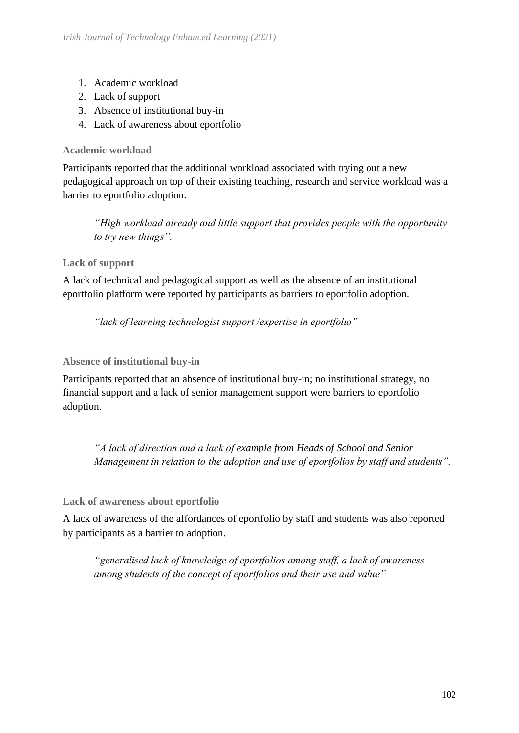- 1. Academic workload
- 2. Lack of support
- 3. Absence of institutional buy-in
- 4. Lack of awareness about eportfolio

#### **Academic workload**

Participants reported that the additional workload associated with trying out a new pedagogical approach on top of their existing teaching, research and service workload was a barrier to eportfolio adoption.

*"High workload already and little support that provides people with the opportunity to try new things".*

#### **Lack of support**

A lack of technical and pedagogical support as well as the absence of an institutional eportfolio platform were reported by participants as barriers to eportfolio adoption.

*"lack of learning technologist support /expertise in eportfolio"*

#### **Absence of institutional buy-in**

Participants reported that an absence of institutional buy-in; no institutional strategy, no financial support and a lack of senior management support were barriers to eportfolio adoption.

*"A lack of direction and a lack of example from Heads of School and Senior Management in relation to the adoption and use of eportfolios by staff and students".*

**Lack of awareness about eportfolio**

A lack of awareness of the affordances of eportfolio by staff and students was also reported by participants as a barrier to adoption.

*"generalised lack of knowledge of eportfolios among staff, a lack of awareness among students of the concept of eportfolios and their use and value"*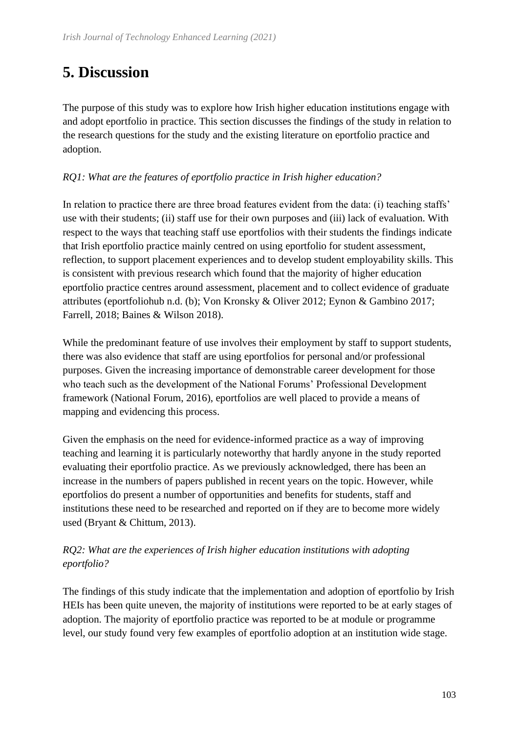# **5. Discussion**

The purpose of this study was to explore how Irish higher education institutions engage with and adopt eportfolio in practice. This section discusses the findings of the study in relation to the research questions for the study and the existing literature on eportfolio practice and adoption.

#### *RQ1: What are the features of eportfolio practice in Irish higher education?*

In relation to practice there are three broad features evident from the data: (i) teaching staffs' use with their students; (ii) staff use for their own purposes and (iii) lack of evaluation. With respect to the ways that teaching staff use eportfolios with their students the findings indicate that Irish eportfolio practice mainly centred on using eportfolio for student assessment, reflection, to support placement experiences and to develop student employability skills. This is consistent with previous research which found that the majority of higher education eportfolio practice centres around assessment, placement and to collect evidence of graduate attributes (eportfoliohub n.d. (b); Von Kronsky & Oliver 2012; Eynon & Gambino 2017; Farrell, 2018; Baines & Wilson 2018).

While the predominant feature of use involves their employment by staff to support students, there was also evidence that staff are using eportfolios for personal and/or professional purposes. Given the increasing importance of demonstrable career development for those who teach such as the development of the National Forums' Professional Development framework (National Forum, 2016), eportfolios are well placed to provide a means of mapping and evidencing this process.

Given the emphasis on the need for evidence-informed practice as a way of improving teaching and learning it is particularly noteworthy that hardly anyone in the study reported evaluating their eportfolio practice. As we previously acknowledged, there has been an increase in the numbers of papers published in recent years on the topic. However, while eportfolios do present a number of opportunities and benefits for students, staff and institutions these need to be researched and reported on if they are to become more widely used (Bryant & Chittum, 2013).

## *RQ2: What are the experiences of Irish higher education institutions with adopting eportfolio?*

The findings of this study indicate that the implementation and adoption of eportfolio by Irish HEIs has been quite uneven, the majority of institutions were reported to be at early stages of adoption. The majority of eportfolio practice was reported to be at module or programme level, our study found very few examples of eportfolio adoption at an institution wide stage.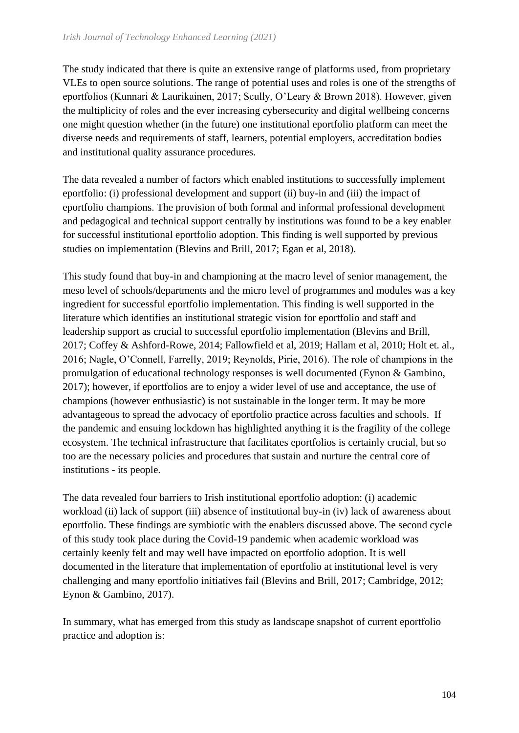The study indicated that there is quite an extensive range of platforms used, from proprietary VLEs to open source solutions. The range of potential uses and roles is one of the strengths of eportfolios (Kunnari & Laurikainen, 2017; Scully, O'Leary & Brown 2018). However, given the multiplicity of roles and the ever increasing cybersecurity and digital wellbeing concerns one might question whether (in the future) one institutional eportfolio platform can meet the diverse needs and requirements of staff, learners, potential employers, accreditation bodies and institutional quality assurance procedures.

The data revealed a number of factors which enabled institutions to successfully implement eportfolio: (i) professional development and support (ii) buy-in and (iii) the impact of eportfolio champions. The provision of both formal and informal professional development and pedagogical and technical support centrally by institutions was found to be a key enabler for successful institutional eportfolio adoption. This finding is well supported by previous studies on implementation (Blevins and Brill, 2017; Egan et al, 2018).

This study found that buy-in and championing at the macro level of senior management, the meso level of schools/departments and the micro level of programmes and modules was a key ingredient for successful eportfolio implementation. This finding is well supported in the literature which identifies an institutional strategic vision for eportfolio and staff and leadership support as crucial to successful eportfolio implementation (Blevins and Brill, 2017; Coffey & Ashford-Rowe, 2014; Fallowfield et al, 2019; Hallam et al, 2010; Holt et. al., 2016; Nagle, O'Connell, Farrelly, 2019; Reynolds, Pirie, 2016). The role of champions in the promulgation of educational technology responses is well documented (Eynon & Gambino, 2017); however, if eportfolios are to enjoy a wider level of use and acceptance, the use of champions (however enthusiastic) is not sustainable in the longer term. It may be more advantageous to spread the advocacy of eportfolio practice across faculties and schools. If the pandemic and ensuing lockdown has highlighted anything it is the fragility of the college ecosystem. The technical infrastructure that facilitates eportfolios is certainly crucial, but so too are the necessary policies and procedures that sustain and nurture the central core of institutions - its people.

The data revealed four barriers to Irish institutional eportfolio adoption: (i) academic workload (ii) lack of support (iii) absence of institutional buy-in (iv) lack of awareness about eportfolio. These findings are symbiotic with the enablers discussed above. The second cycle of this study took place during the Covid-19 pandemic when academic workload was certainly keenly felt and may well have impacted on eportfolio adoption. It is well documented in the literature that implementation of eportfolio at institutional level is very challenging and many eportfolio initiatives fail (Blevins and Brill, 2017; Cambridge, 2012; Eynon & Gambino, 2017).

In summary, what has emerged from this study as landscape snapshot of current eportfolio practice and adoption is: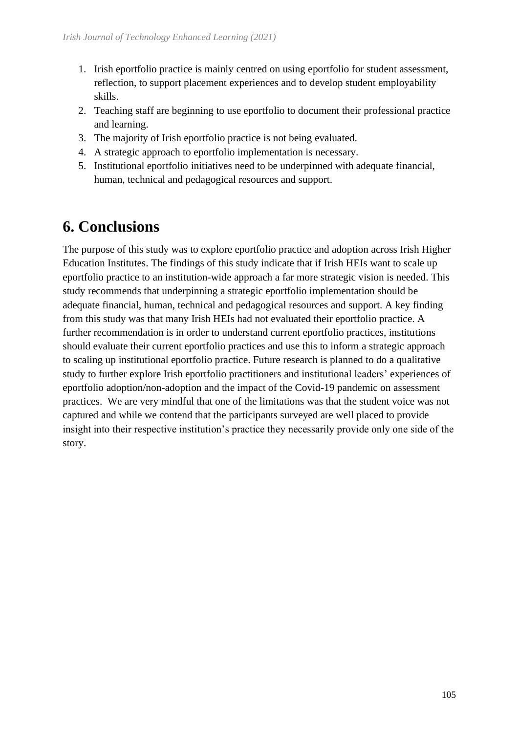- 1. Irish eportfolio practice is mainly centred on using eportfolio for student assessment, reflection, to support placement experiences and to develop student employability skills.
- 2. Teaching staff are beginning to use eportfolio to document their professional practice and learning.
- 3. The majority of Irish eportfolio practice is not being evaluated.
- 4. A strategic approach to eportfolio implementation is necessary.
- 5. Institutional eportfolio initiatives need to be underpinned with adequate financial, human, technical and pedagogical resources and support.

# **6. Conclusions**

The purpose of this study was to explore eportfolio practice and adoption across Irish Higher Education Institutes. The findings of this study indicate that if Irish HEIs want to scale up eportfolio practice to an institution-wide approach a far more strategic vision is needed. This study recommends that underpinning a strategic eportfolio implementation should be adequate financial, human, technical and pedagogical resources and support. A key finding from this study was that many Irish HEIs had not evaluated their eportfolio practice. A further recommendation is in order to understand current eportfolio practices, institutions should evaluate their current eportfolio practices and use this to inform a strategic approach to scaling up institutional eportfolio practice. Future research is planned to do a qualitative study to further explore Irish eportfolio practitioners and institutional leaders' experiences of eportfolio adoption/non-adoption and the impact of the Covid-19 pandemic on assessment practices. We are very mindful that one of the limitations was that the student voice was not captured and while we contend that the participants surveyed are well placed to provide insight into their respective institution's practice they necessarily provide only one side of the story.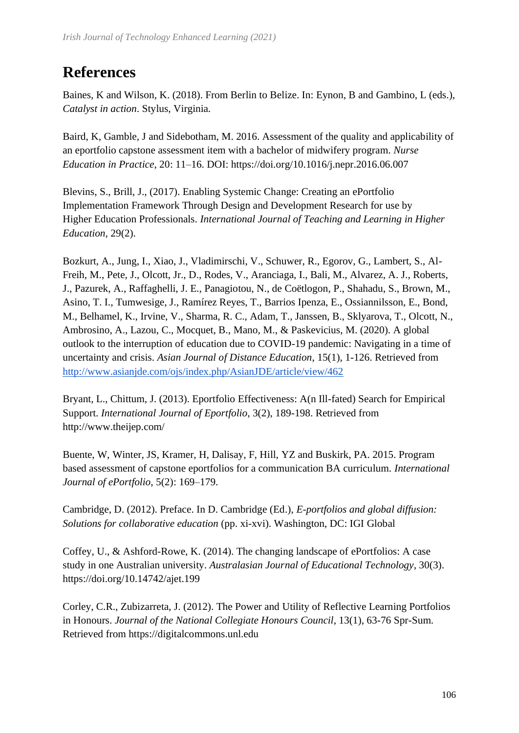# **References**

Baines, K and Wilson, K. (2018). From Berlin to Belize. In: Eynon, B and Gambino, L (eds.), *Catalyst in action*. Stylus, Virginia.

Baird, K, Gamble, J and Sidebotham, M. 2016. Assessment of the quality and applicability of an eportfolio capstone assessment item with a bachelor of midwifery program. *Nurse Education in Practice*, 20: 11–16. DOI: https://doi.org/10.1016/j.nepr.2016.06.007

Blevins, S., Brill, J., (2017). Enabling Systemic Change: Creating an ePortfolio Implementation Framework Through Design and Development Research for use by Higher Education Professionals. *International Journal of Teaching and Learning in Higher Education,* 29(2).

Bozkurt, A., Jung, I., Xiao, J., Vladimirschi, V., Schuwer, R., Egorov, G., Lambert, S., Al-Freih, M., Pete, J., Olcott, Jr., D., Rodes, V., Aranciaga, I., Bali, M., Alvarez, A. J., Roberts, J., Pazurek, A., Raffaghelli, J. E., Panagiotou, N., de Coëtlogon, P., Shahadu, S., Brown, M., Asino, T. I., Tumwesige, J., Ramírez Reyes, T., Barrios Ipenza, E., Ossiannilsson, E., Bond, M., Belhamel, K., Irvine, V., Sharma, R. C., Adam, T., Janssen, B., Sklyarova, T., Olcott, N., Ambrosino, A., Lazou, C., Mocquet, B., Mano, M., & Paskevicius, M. (2020). A global outlook to the interruption of education due to COVID-19 pandemic: Navigating in a time of uncertainty and crisis. *Asian Journal of Distance Education*, 15(1), 1-126. Retrieved from <http://www.asianjde.com/ojs/index.php/AsianJDE/article/view/462>

Bryant, L., Chittum, J. (2013). Eportfolio Effectiveness: A(n Ill-fated) Search for Empirical Support. *International Journal of Eportfolio*, 3(2), 189-198. Retrieved from http://www.theijep.com/

Buente, W, Winter, JS, Kramer, H, Dalisay, F, Hill, YZ and Buskirk, PA. 2015. Program based assessment of capstone eportfolios for a communication BA curriculum. *International Journal of ePortfolio*, 5(2): 169–179.

Cambridge, D. (2012). Preface. In D. Cambridge (Ed.), *E-portfolios and global diffusion: Solutions for collaborative education* (pp. xi-xvi). Washington, DC: IGI Global

Coffey, U., & Ashford-Rowe, K. (2014). The changing landscape of ePortfolios: A case study in one Australian university. *Australasian Journal of Educational Technology*, 30(3). https://doi.org/10.14742/ajet.199

Corley, C.R., Zubizarreta, J. (2012). The Power and Utility of Reflective Learning Portfolios in Honours. *Journal of the National Collegiate Honours Council*, 13(1), 63-76 Spr-Sum. Retrieved from https://digitalcommons.unl.edu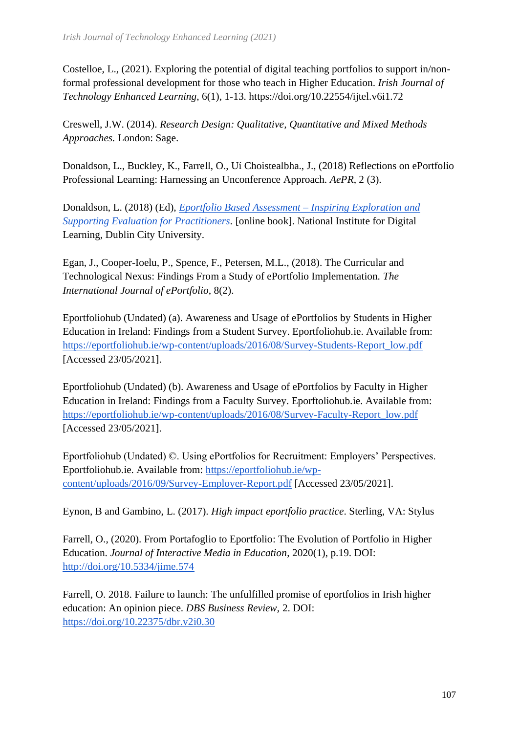Costelloe, L., (2021). Exploring the potential of digital teaching portfolios to support in/nonformal professional development for those who teach in Higher Education. *Irish Journal of Technology Enhanced Learning*, 6(1), 1-13. https://doi.org/10.22554/ijtel.v6i1.72

Creswell, J.W. (2014). *Research Design: Qualitative, Quantitative and Mixed Methods Approaches.* London: Sage.

Donaldson, L., Buckley, K., Farrell, O., Uí Choistealbha., J., (2018) Reflections on ePortfolio Professional Learning: Harnessing an Unconference Approach. *AePR*, 2 (3).

Donaldson, L. (2018) (Ed), *[Eportfolio Based Assessment –](https://read.bookcreator.com/czHiWg1mbURBt6XGEriXdgYJEr62/j09MDQqZTXGthHfmyzsU0Qnt%20%E2%80%93%20Inspiring%20Exploration%20and%20Supporting%20Evaluation%20for%20Practitioners.%20%5Bonline%20book%5D.%20National%20Institute%20for%20Digital%20Learning,%20Dublin%20City%20University.) Inspiring Exploration and [Supporting Evaluation for Practitioners.](https://read.bookcreator.com/czHiWg1mbURBt6XGEriXdgYJEr62/j09MDQqZTXGthHfmyzsU0Qnt%20%E2%80%93%20Inspiring%20Exploration%20and%20Supporting%20Evaluation%20for%20Practitioners.%20%5Bonline%20book%5D.%20National%20Institute%20for%20Digital%20Learning,%20Dublin%20City%20University.)* [online book]. National Institute for Digital Learning, Dublin City University.

Egan, J., Cooper-Ioelu, P., Spence, F., Petersen, M.L., (2018). The Curricular and Technological Nexus: Findings From a Study of ePortfolio Implementation. *The International Journal of ePortfolio*, 8(2).

Eportfoliohub (Undated) (a). Awareness and Usage of ePortfolios by Students in Higher Education in Ireland: Findings from a Student Survey. Eportfoliohub.ie. Available from: [https://eportfoliohub.ie/wp-content/uploads/2016/08/Survey-Students-Report\\_low.pdf](https://eportfoliohub.ie/wp-content/uploads/2016/08/Survey-Students-Report_low.pdf) [Accessed 23/05/2021].

Eportfoliohub (Undated) (b). Awareness and Usage of ePortfolios by Faculty in Higher Education in Ireland: Findings from a Faculty Survey. Eporftoliohub.ie. Available from: [https://eportfoliohub.ie/wp-content/uploads/2016/08/Survey-Faculty-Report\\_low.pdf](https://eportfoliohub.ie/wp-content/uploads/2016/08/Survey-Faculty-Report_low.pdf) [Accessed 23/05/2021].

Eportfoliohub (Undated) ©. Using ePortfolios for Recruitment: Employers' Perspectives. Eportfoliohub.ie. Available from: [https://eportfoliohub.ie/wp](https://eportfoliohub.ie/wp-content/uploads/2016/09/Survey-Employer-Report.pdf)[content/uploads/2016/09/Survey-Employer-Report.pdf](https://eportfoliohub.ie/wp-content/uploads/2016/09/Survey-Employer-Report.pdf) [Accessed 23/05/2021].

Eynon, B and Gambino, L. (2017). *High impact eportfolio practice*. Sterling, VA: Stylus

Farrell, O., (2020). From Portafoglio to Eportfolio: The Evolution of Portfolio in Higher Education. *Journal of Interactive Media in Education*, 2020(1), p.19. DOI: <http://doi.org/10.5334/jime.574>

Farrell, O. 2018. Failure to launch: The unfulfilled promise of eportfolios in Irish higher education: An opinion piece. *DBS Business Review*, 2. DOI: <https://doi.org/10.22375/dbr.v2i0.30>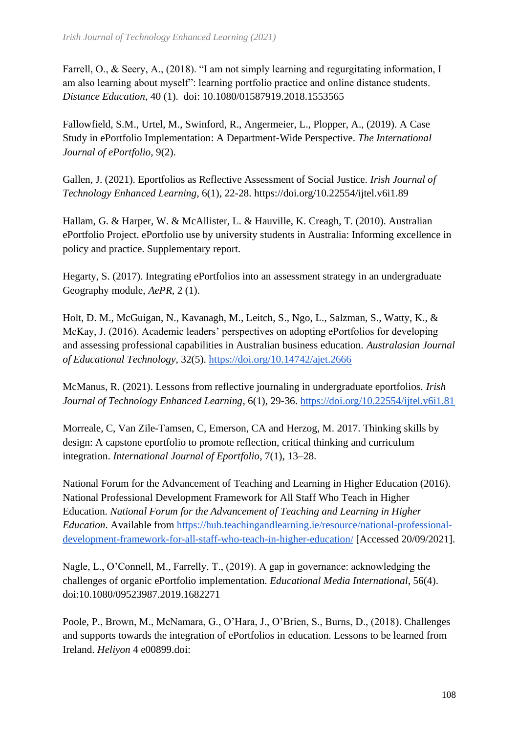Farrell, O., & Seery, A., (2018). "I am not simply learning and regurgitating information, I am also learning about myself": learning portfolio practice and online distance students. *Distance Education*, 40 (1). doi: 10.1080/01587919.2018.1553565

Fallowfield, S.M., Urtel, M., Swinford, R., Angermeier, L., Plopper, A., (2019). A Case Study in ePortfolio Implementation: A Department-Wide Perspective. *The International Journal of ePortfolio,* 9(2).

Gallen, J. (2021). Eportfolios as Reflective Assessment of Social Justice. *Irish Journal of Technology Enhanced Learning*, 6(1), 22-28. https://doi.org/10.22554/ijtel.v6i1.89

Hallam, G. & Harper, W. & McAllister, L. & Hauville, K. Creagh, T. (2010). Australian ePortfolio Project. ePortfolio use by university students in Australia: Informing excellence in policy and practice. Supplementary report.

Hegarty, S. (2017). Integrating ePortfolios into an assessment strategy in an undergraduate Geography module, *AePR*, 2 (1).

Holt, D. M., McGuigan, N., Kavanagh, M., Leitch, S., Ngo, L., Salzman, S., Watty, K., & McKay, J. (2016). Academic leaders' perspectives on adopting ePortfolios for developing and assessing professional capabilities in Australian business education. *Australasian Journal of Educational Technology*, 32(5).<https://doi.org/10.14742/ajet.2666>

McManus, R. (2021). Lessons from reflective journaling in undergraduate eportfolios. *Irish Journal of Technology Enhanced Learning*, 6(1), 29-36.<https://doi.org/10.22554/ijtel.v6i1.81>

Morreale, C, Van Zile-Tamsen, C, Emerson, CA and Herzog, M. 2017. Thinking skills by design: A capstone eportfolio to promote reflection, critical thinking and curriculum integration. *International Journal of Eportfolio*, 7(1), 13–28.

National Forum for the Advancement of Teaching and Learning in Higher Education (2016). National Professional Development Framework for All Staff Who Teach in Higher Education. *National Forum for the Advancement of Teaching and Learning in Higher Education*. Available from [https://hub.teachingandlearning.ie/resource/national-professional](https://hub.teachingandlearning.ie/resource/national-professional-development-framework-for-all-staff-who-teach-in-higher-education/)[development-framework-for-all-staff-who-teach-in-higher-education/](https://hub.teachingandlearning.ie/resource/national-professional-development-framework-for-all-staff-who-teach-in-higher-education/) [Accessed 20/09/2021].

Nagle, L., O'Connell, M., Farrelly, T., (2019). A gap in governance: acknowledging the challenges of organic ePortfolio implementation. *Educational Media International*, 56(4). doi:10.1080/09523987.2019.1682271

Poole, P., Brown, M., McNamara, G., O'Hara, J., O'Brien, S., Burns, D., (2018). Challenges and supports towards the integration of ePortfolios in education. Lessons to be learned from Ireland. *Heliyon* 4 e00899.doi: